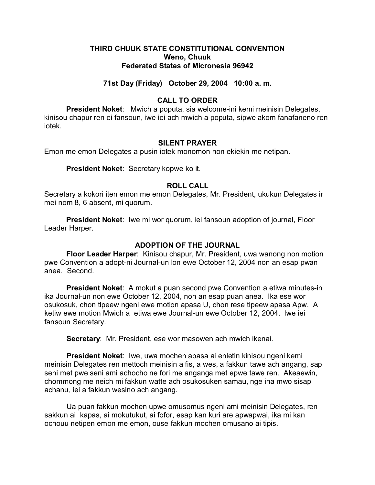## **THIRD CHUUK STATE CONSTITUTIONAL CONVENTION Weno, Chuuk Federated States of Micronesia 96942**

## **71st Day (Friday) October 29, 2004 10:00 a. m.**

## **CALL TO ORDER**

**President Noket**: Mwich a poputa, sia welcome-ini kemi meinisin Delegates, kinisou chapur ren ei fansoun, iwe iei ach mwich a poputa, sipwe akom fanafaneno ren iotek.

### **SILENT PRAYER**

Emon me emon Delegates a pusin iotek monomon non ekiekin me netipan.

**President Noket**: Secretary kopwe ko it.

# **ROLL CALL**

Secretary a kokori iten emon me emon Delegates, Mr. President, ukukun Delegates ir mei nom 8, 6 absent, mi quorum.

**President Noket:** Iwe mi wor quorum, iei fansoun adoption of journal, Floor Leader Harper.

### **ADOPTION OF THE JOURNAL**

**Floor Leader Harper**: Kinisou chapur, Mr. President, uwa wanong non motion pwe Convention a adopt-ni Journal-un lon ewe October 12, 2004 non an esap pwan anea. Second.

**President Noket**: A mokut a puan second pwe Convention a etiwa minutes-in ika Journal-un non ewe October 12, 2004, non an esap puan anea. Ika ese wor osukosuk, chon tipeew ngeni ewe motion apasa U, chon rese tipeew apasa Apw. A ketiw ewe motion Mwich a etiwa ewe Journal-un ewe October 12, 2004. Iwe iei fansoun Secretary.

**Secretary**: Mr. President, ese wor masowen ach mwich ikenai.

**President Noket**: Iwe, uwa mochen apasa ai enletin kinisou ngeni kemi meinisin Delegates ren mettoch meinisin a fis, a wes, a fakkun tawe ach angang, sap seni met pwe seni ami achocho ne fori me anganga met epwe tawe ren. Akeaewin, chommong me neich mi fakkun watte ach osukosuken samau, nge ina mwo sisap achanu, iei a fakkun wesino ach angang.

Ua puan fakkun mochen upwe omusomus ngeni ami meinisin Delegates, ren sakkun ai kapas, ai mokutukut, ai fofor, esap kan kuri are apwapwai, ika mi kan ochouu netipen emon me emon, ouse fakkun mochen omusano ai tipis.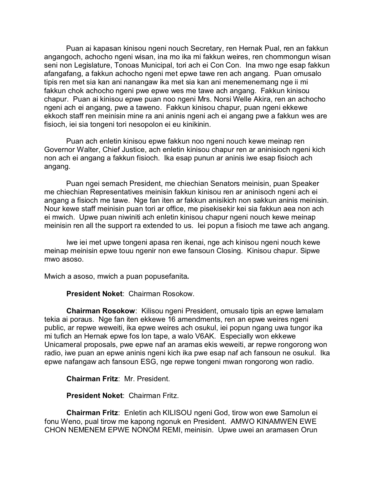Puan ai kapasan kinisou ngeni nouch Secretary, ren Hernak Pual, ren an fakkun angangoch, achocho ngeni wisan, ina mo ika mi fakkun weires, ren chommongun wisan seni non Legislature, Tonoas Municipal, tori ach ei Con Con. Ina mwo nge esap fakkun afangafang, a fakkun achocho ngeni met epwe tawe ren ach angang. Puan omusalo tipis ren met sia kan ani nanangaw ika met sia kan ani menemenemang nge ii mi fakkun chok achocho ngeni pwe epwe wes me tawe ach angang. Fakkun kinisou chapur. Puan ai kinisou epwe puan noo ngeni Mrs. Norsi Welle Akira, ren an achocho ngeni ach ei angang, pwe a taweno. Fakkun kinisou chapur, puan ngeni ekkewe ekkoch staff ren meinisin mine ra ani aninis ngeni ach ei angang pwe a fakkun wes are fisioch, iei sia tongeni tori nesopolon ei eu kinikinin.

Puan ach enletin kinisou epwe fakkun noo ngeni nouch kewe meinap ren Governor Walter, Chief Justice, ach enletin kinisou chapur ren ar aninisioch ngeni kich non ach ei angang a fakkun fisioch. Ika esap punun ar aninis iwe esap fisioch ach angang.

Puan ngei semach President, me chiechian Senators meinisin, puan Speaker me chiechian Representatives meinisin fakkun kinisou ren ar aninisoch ngeni ach ei angang a fisioch me tawe. Nge fan iten ar fakkun anisikich non sakkun aninis meinisin. Nour kewe staff meinisin puan tori ar office, me pisekisekir kei sia fakkun aea non ach ei mwich. Upwe puan niwiniti ach enletin kinisou chapur ngeni nouch kewe meinap meinisin ren all the support ra extended to us. Iei popun a fisioch me tawe ach angang.

Iwe iei met upwe tongeni apasa ren ikenai, nge ach kinisou ngeni nouch kewe meinap meinisin epwe touu ngenir non ewe fansoun Closing. Kinisou chapur. Sipwe mwo asoso.

Mwich a asoso, mwich a puan popusefanita**.**

**President Noket**: Chairman Rosokow.

**Chairman Rosokow**: Kilisou ngeni President, omusalo tipis an epwe lamalam tekia ai poraus. Nge fan iten ekkewe 16 amendments, ren an epwe weires ngeni public, ar repwe weweiti, ika epwe weires ach osukul, iei popun ngang uwa tungor ika mi tufich an Hernak epwe fos lon tape, a walo V6AK. Especially won ekkewe Unicameral proposals, pwe epwe naf an aramas ekis weweiti, ar repwe rongorong won radio, iwe puan an epwe aninis ngeni kich ika pwe esap naf ach fansoun ne osukul. Ika epwe nafangaw ach fansoun ESG, nge repwe tongeni mwan rongorong won radio.

**Chairman Fritz**: Mr. President.

**President Noket**: Chairman Fritz.

**Chairman Fritz**: Enletin ach KILISOU ngeni God, tirow won ewe Samolun ei fonu Weno, pual tirow me kapong ngonuk en President. AMWO KINAMWEN EWE CHON NEMENEM EPWE NONOM REMI, meinisin. Upwe uwei an aramasen Orun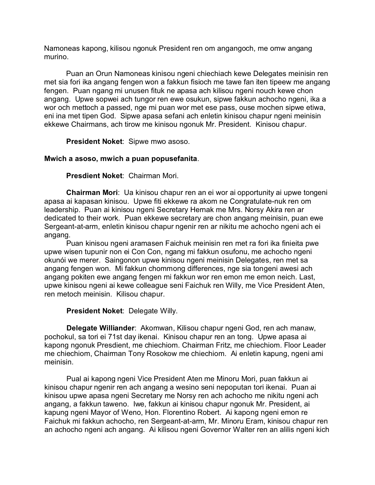Namoneas kapong, kilisou ngonuk President ren om angangoch, me omw angang murino.

Puan an Orun Namoneas kinisou ngeni chiechiach kewe Delegates meinisin ren met sia fori ika angang fengen won a fakkun fisioch me tawe fan iten tipeew me angang fengen. Puan ngang mi unusen fituk ne apasa ach kilisou ngeni nouch kewe chon angang. Upwe sopwei ach tungor ren ewe osukun, sipwe fakkun achocho ngeni, ika a wor och mettoch a passed, nge mi puan wor met ese pass, ouse mochen sipwe etiwa, eni ina met tipen God. Sipwe apasa sefani ach enletin kinisou chapur ngeni meinisin ekkewe Chairmans, ach tirow me kinisou ngonuk Mr. President. Kinisou chapur.

**President Noket**: Sipwe mwo asoso.

## **Mwich a asoso, mwich a puan popusefanita**.

**Presdient Noket**: Chairman Mori.

**Chairman Mori**: Ua kinisou chapur ren an ei wor ai opportunity ai upwe tongeni apasa ai kapasan kinisou. Upwe fiti ekkewe ra akom ne Congratulate-nuk ren om leadership. Puan ai kinisou ngeni Secretary Hernak me Mrs. Norsy Akira ren ar dedicated to their work. Puan ekkewe secretary are chon angang meinisin, puan ewe Sergeant-at-arm, enletin kinisou chapur ngenir ren ar nikitu me achocho ngeni ach ei angang.

Puan kinisou ngeni aramasen Faichuk meinisin ren met ra fori ika finieita pwe upwe wisen tupunir non ei Con Con, ngang mi fakkun osufonu, me achocho ngeni okunói we merer. Saingonon upwe kinisou ngeni meinisin Delegates, ren met sa angang fengen won. Mi fakkun chommong differences, nge sia tongeni awesi ach angang pokiten ewe angang fengen mi fakkun wor ren emon me emon neich. Last, upwe kinisou ngeni ai kewe colleague seni Faichuk ren Willy, me Vice President Aten, ren metoch meinisin. Kilisou chapur.

### **President Noket**: Delegate Willy.

**Delegate Williander**: Akomwan, Kilisou chapur ngeni God, ren ach manaw, pochokul, sa tori ei 71st day ikenai. Kinisou chapur ren an tong. Upwe apasa ai kapong ngonuk Presdient, me chiechiom. Chairman Fritz, me chiechiom. Floor Leader me chiechiom, Chairman Tony Rosokow me chiechiom. Ai enletin kapung, ngeni ami meinisin.

Pual ai kapong ngeni Vice President Aten me Minoru Mori, puan fakkun ai kinisou chapur ngenir ren ach angang a wesino seni nepoputan tori ikenai. Puan ai kinisou upwe apasa ngeni Secretary me Norsy ren ach achocho me nikitu ngeni ach angang, a fakkun taweno. Iwe, fakkun ai kinisou chapur ngonuk Mr. President, ai kapung ngeni Mayor of Weno, Hon. Florentino Robert. Ai kapong ngeni emon re Faichuk mi fakkun achocho, ren Sergeant-at-arm, Mr. Minoru Eram, kinisou chapur ren an achocho ngeni ach angang. Ai kilisou ngeni Governor Walter ren an alilis ngeni kich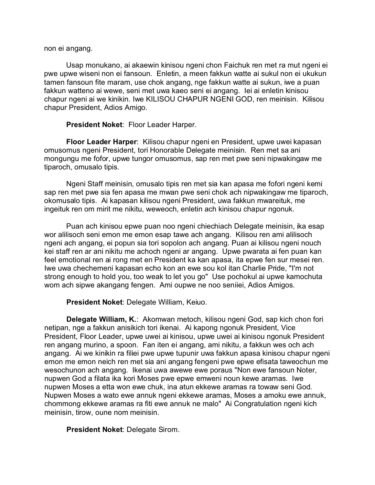non ei angang.

Usap monukano, ai akaewin kinisou ngeni chon Faichuk ren met ra mut ngeni ei pwe upwe wiseni non ei fansoun. Enletin, a meen fakkun watte ai sukul non ei ukukun tamen fansoun fite maram, use chok angang, nge fakkun watte ai sukun, iwe a puan fakkun watteno ai wewe, seni met uwa kaeo seni ei angang. Iei ai enletin kinisou chapur ngeni ai we kinikin. Iwe KILISOU CHAPUR NGENI GOD, ren meinisin. Kilisou chapur President, Adios Amigo.

**President Noket**: Floor Leader Harper.

**Floor Leader Harper**: Kilisou chapur ngeni en President, upwe uwei kapasan omusomus ngeni President, tori Honorable Delegate meinisin. Ren met sa ani mongungu me fofor, upwe tungor omusomus, sap ren met pwe seni nipwakingaw me tiparoch, omusalo tipis.

Ngeni Staff meinisin, omusalo tipis ren met sia kan apasa me fofori ngeni kemi sap ren met pwe sia fen apasa me mwan pwe seni chok ach nipwakingaw me tiparoch, okomusalo tipis. Ai kapasan kilisou ngeni President, uwa fakkun mwareituk, me ingeituk ren om mirit me nikitu, weweoch, enletin ach kinisou chapur ngonuk.

Puan ach kinisou epwe puan noo ngeni chiechiach Delegate meinisin, ika esap wor alilisoch seni emon me emon esap tawe ach angang. Kilisou ren ami alilisoch ngeni ach angang, ei popun sia tori sopolon ach angang. Puan ai kilisou ngeni nouch kei staff ren ar ani nikitu me achoch ngeni ar angang. Upwe pwarata ai fen puan kan feel emotional ren ai rong met en President ka kan apasa, ita epwe fen sur mesei ren. Iwe uwa chechemeni kapasan echo kon an ewe sou kol itan Charlie Pride, "I'm not strong enough to hold you, too weak to let you go" Use pochokul ai upwe kamochuta wom ach sipwe akangang fengen. Ami oupwe ne noo seniiei, Adios Amigos.

**President Noket**: Delegate William, Keiuo.

**Delegate William, K.**: Akomwan metoch, kilisou ngeni God, sap kich chon fori netipan, nge a fakkun anisikich tori ikenai. Ai kapong ngonuk President, Vice President, Floor Leader, upwe uwei ai kinisou, upwe uwei ai kinisou ngonuk President ren angang murino, a spoon. Fan iten ei angang, ami nikitu, a fakkun wes och ach angang. Ai we kinikin ra filiei pwe upwe tupunir uwa fakkun apasa kinisou chapur ngeni emon me emon neich ren met sia ani angang fengeni pwe epwe efisata taweochun me wesochunon ach angang. Ikenai uwa awewe ewe poraus "Non ewe fansoun Noter, nupwen God a filata ika kori Moses pwe epwe emweni noun kewe aramas. Iwe nupwen Moses a etta won ewe chuk, ina atun ekkewe aramas ra towaw seni God. Nupwen Moses a wato ewe annuk ngeni ekkewe aramas, Moses a amoku ewe annuk, chommong ekkewe aramas ra fiti ewe annuk ne malo" Ai Congratulation ngeni kich meinisin, tirow, oune nom meinisin.

**President Noket**: Delegate Sirom.